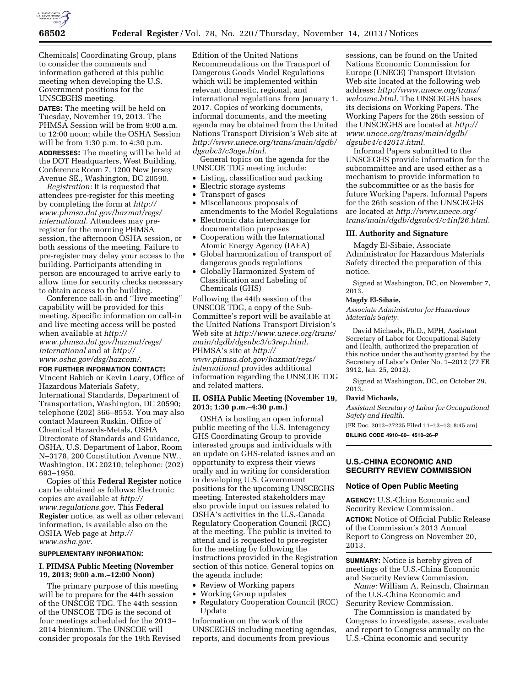

Chemicals) Coordinating Group, plans to consider the comments and information gathered at this public meeting when developing the U.S. Government positions for the UNSCEGHS meeting.

**DATES:** The meeting will be held on Tuesday, November 19, 2013. The PHMSA Session will be from 9:00 a.m. to 12:00 noon; while the OSHA Session will be from 1:30 p.m. to 4:30 p.m. **ADDRESSES:** The meeting will be held at the DOT Headquarters, West Building, Conference Room 7, 1200 New Jersey Avenue SE., Washington, DC 20590.

*Registration:* It is requested that attendees pre-register for this meeting by completing the form at *[http://](http://www.phmsa.dot.gov/hazmat/regs/international) [www.phmsa.dot.gov/hazmat/regs/](http://www.phmsa.dot.gov/hazmat/regs/international) [international.](http://www.phmsa.dot.gov/hazmat/regs/international)* Attendees may preregister for the morning PHMSA session, the afternoon OSHA session, or both sessions of the meeting. Failure to pre-register may delay your access to the building. Participants attending in person are encouraged to arrive early to allow time for security checks necessary to obtain access to the building.

Conference call-in and ''live meeting'' capability will be provided for this meeting. Specific information on call-in and live meeting access will be posted when available at *[http://](http://www.phmsa.dot.gov/hazmat/regs/international) [www.phmsa.dot.gov/hazmat/regs/](http://www.phmsa.dot.gov/hazmat/regs/international) [international](http://www.phmsa.dot.gov/hazmat/regs/international)* and at *[http://](http://www.osha.gov/dsg/hazcom/) [www.osha.gov/dsg/hazcom/.](http://www.osha.gov/dsg/hazcom/)* 

#### **FOR FURTHER INFORMATION CONTACT:**

Vincent Babich or Kevin Leary, Office of Hazardous Materials Safety, International Standards, Department of Transportation, Washington, DC 20590; telephone (202) 366–8553. You may also contact Maureen Ruskin, Office of Chemical Hazards-Metals, OSHA Directorate of Standards and Guidance, OSHA, U.S. Department of Labor, Room N–3178, 200 Constitution Avenue NW., Washington, DC 20210; telephone: (202) 693–1950.

Copies of this **Federal Register** notice can be obtained as follows: Electronic copies are available at *[http://](http://www.regulations.gov) [www.regulations.gov.](http://www.regulations.gov)* This **Federal Register** notice, as well as other relevant information, is available also on the OSHA Web page at *[http://](http://www.osha.gov) [www.osha.gov.](http://www.osha.gov)* 

### **SUPPLEMENTARY INFORMATION:**

# **I. PHMSA Public Meeting (November 19, 2013; 9:00 a.m.–12:00 Noon)**

The primary purpose of this meeting will be to prepare for the 44th session of the UNSCOE TDG. The 44th session of the UNSCOE TDG is the second of four meetings scheduled for the 2013– 2014 biennium. The UNSCOE will consider proposals for the 19th Revised

Edition of the United Nations Recommendations on the Transport of Dangerous Goods Model Regulations which will be implemented within relevant domestic, regional, and international regulations from January 1, 2017. Copies of working documents, informal documents, and the meeting agenda may be obtained from the United Nations Transport Division's Web site at *[http://www.unece.org/trans/main/dgdb/](http://www.unece.org/trans/main/dgdb/dgsubc3/c3age.html) [dgsubc3/c3age.html.](http://www.unece.org/trans/main/dgdb/dgsubc3/c3age.html)* 

General topics on the agenda for the UNSCOE TDG meeting include:

- Listing, classification and packing
- Electric storage systems
- Transport of gases
- Miscellaneous proposals of amendments to the Model Regulations
- Electronic data interchange for documentation purposes
- Cooperation with the International Atomic Energy Agency (IAEA)
- Global harmonization of transport of dangerous goods regulations
- Globally Harmonized System of Classification and Labeling of Chemicals (GHS)

Following the 44th session of the UNSCOE TDG, a copy of the Sub-Committee's report will be available at the United Nations Transport Division's Web site at *[http://www.unece.org/trans/](http://www.unece.org/trans/main/dgdb/dgsubc3/c3rep.html) [main/dgdb/dgsubc3/c3rep.html.](http://www.unece.org/trans/main/dgdb/dgsubc3/c3rep.html)*  PHMSA's site at *[http://](http://www.phmsa.dot.gov/hazmat/regs/international) [www.phmsa.dot.gov/hazmat/regs/](http://www.phmsa.dot.gov/hazmat/regs/international) [international](http://www.phmsa.dot.gov/hazmat/regs/international)* provides additional information regarding the UNSCOE TDG and related matters.

### **II. OSHA Public Meeting (November 19, 2013; 1:30 p.m.–4:30 p.m.)**

OSHA is hosting an open informal public meeting of the U.S. Interagency GHS Coordinating Group to provide interested groups and individuals with an update on GHS-related issues and an opportunity to express their views orally and in writing for consideration in developing U.S. Government positions for the upcoming UNSCEGHS meeting. Interested stakeholders may also provide input on issues related to OSHA's activities in the U.S.-Canada Regulatory Cooperation Council (RCC) at the meeting. The public is invited to attend and is requested to pre-register for the meeting by following the instructions provided in the Registration section of this notice. General topics on the agenda include:

- Review of Working papers
- Working Group updates
- Regulatory Cooperation Council (RCC) Update

Information on the work of the UNSCEGHS including meeting agendas, reports, and documents from previous

sessions, can be found on the United Nations Economic Commission for Europe (UNECE) Transport Division Web site located at the following web address: *[http://www.unece.org/trans/](http://www.unece.org/trans/welcome.html) [welcome.html.](http://www.unece.org/trans/welcome.html)* The UNSCEGHS bases its decisions on Working Papers. The Working Papers for the 26th session of the UNSCEGHS are located at *[http://](http://www.unece.org/trans/main/dgdb/dgsubc4/c42013.html) [www.unece.org/trans/main/dgdb/](http://www.unece.org/trans/main/dgdb/dgsubc4/c42013.html) [dgsubc4/c42013.html.](http://www.unece.org/trans/main/dgdb/dgsubc4/c42013.html)* 

Informal Papers submitted to the UNSCEGHS provide information for the subcommittee and are used either as a mechanism to provide information to the subcommittee or as the basis for future Working Papers. Informal Papers for the 26th session of the UNSCEGHS are located at *[http://www.unece.org/](http://www.unece.org/trans/main/dgdb/dgsubc4/c4inf26.html) [trans/main/dgdb/dgsubc4/c4inf26.html.](http://www.unece.org/trans/main/dgdb/dgsubc4/c4inf26.html)* 

### **III. Authority and Signature**

Magdy El-Sibaie, Associate Administrator for Hazardous Materials Safety directed the preparation of this notice.

Signed at Washington, DC, on November 7, 2013.

### **Magdy El-Sibaie,**

*Associate Administrator for Hazardous Materials Safety.* 

David Michaels, Ph.D., MPH, Assistant Secretary of Labor for Occupational Safety and Health, authorized the preparation of this notice under the authority granted by the Secretary of Labor's Order No. 1–2012 (77 FR 3912, Jan. 25, 2012).

Signed at Washington, DC, on October 29, 2013.

#### **David Michaels,**

*Assistant Secretary of Labor for Occupational Safety and Health.* 

[FR Doc. 2013–27235 Filed 11–13–13; 8:45 am] **BILLING CODE 4910–60– 4510–26–P** 

### **U.S.-CHINA ECONOMIC AND SECURITY REVIEW COMMISSION**

### **Notice of Open Public Meeting**

**AGENCY:** U.S.-China Economic and Security Review Commission.

**ACTION:** Notice of Official Public Release of the Commission's 2013 Annual Report to Congress on November 20, 2013.

**SUMMARY:** Notice is hereby given of meetings of the U.S.-China Economic and Security Review Commission.

*Name:* William A. Reinsch, Chairman of the U.S.-China Economic and Security Review Commission.

The Commission is mandated by Congress to investigate, assess, evaluate and report to Congress annually on the U.S.-China economic and security